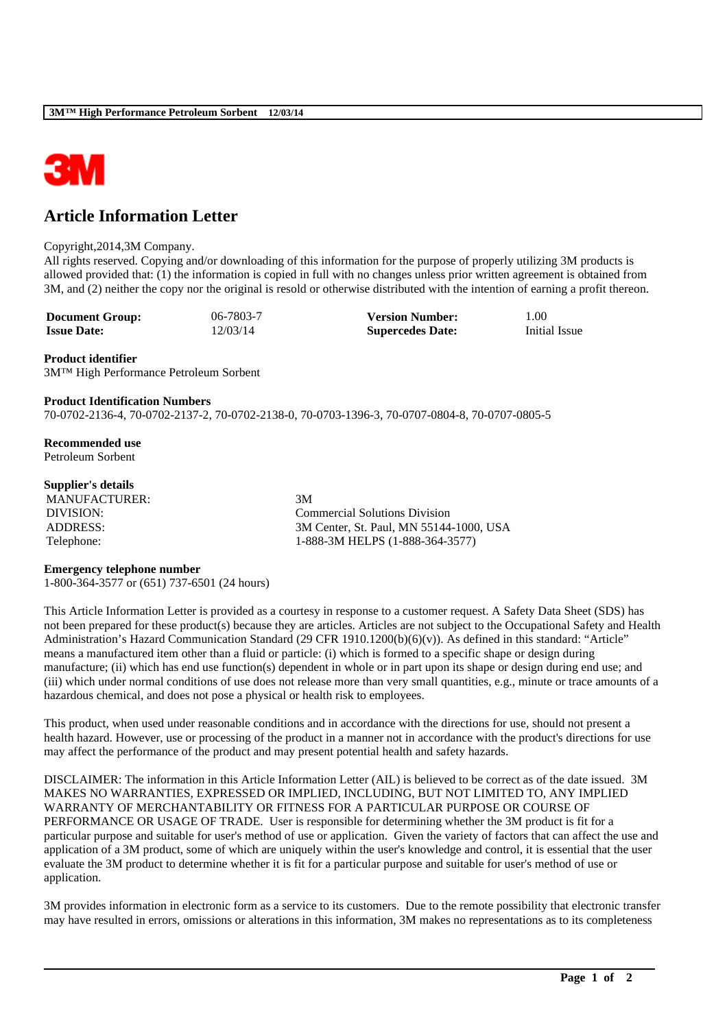

# **Article Information Letter**

#### Copyright,2014,3M Company.

All rights reserved. Copying and/or downloading of this information for the purpose of properly utilizing 3M products is allowed provided that: (1) the information is copied in full with no changes unless prior written agreement is obtained from 3M, and (2) neither the copy nor the original is resold or otherwise distributed with the intention of earning a profit thereon.

| <b>Document Group:</b> | 06-7803-7 | <b>Version Number:</b>  | 1.00          |
|------------------------|-----------|-------------------------|---------------|
| <b>Issue Date:</b>     | 12/03/14  | <b>Supercedes Date:</b> | Initial Issue |

## **Product identifier**

3M™ High Performance Petroleum Sorbent

## **Product Identification Numbers**

70-0702-2136-4, 70-0702-2137-2, 70-0702-2138-0, 70-0703-1396-3, 70-0707-0804-8, 70-0707-0805-5

**Recommended use** Petroleum Sorbent

## **Supplier's details**

MANUFACTURER: 3M

DIVISION: Commercial Solutions Division ADDRESS: 3M Center, St. Paul, MN 55144-1000, USA Telephone: 1-888-3M HELPS (1-888-364-3577)

#### **Emergency telephone number**

1-800-364-3577 or (651) 737-6501 (24 hours)

This Article Information Letter is provided as a courtesy in response to a customer request. A Safety Data Sheet (SDS) has not been prepared for these product(s) because they are articles. Articles are not subject to the Occupational Safety and Health Administration's Hazard Communication Standard (29 CFR 1910.1200(b)(6)(v)). As defined in this standard: "Article" means a manufactured item other than a fluid or particle: (i) which is formed to a specific shape or design during manufacture; (ii) which has end use function(s) dependent in whole or in part upon its shape or design during end use; and (iii) which under normal conditions of use does not release more than very small quantities, e.g., minute or trace amounts of a hazardous chemical, and does not pose a physical or health risk to employees.

This product, when used under reasonable conditions and in accordance with the directions for use, should not present a health hazard. However, use or processing of the product in a manner not in accordance with the product's directions for use may affect the performance of the product and may present potential health and safety hazards.

DISCLAIMER: The information in this Article Information Letter (AIL) is believed to be correct as of the date issued. 3M MAKES NO WARRANTIES, EXPRESSED OR IMPLIED, INCLUDING, BUT NOT LIMITED TO, ANY IMPLIED WARRANTY OF MERCHANTABILITY OR FITNESS FOR A PARTICULAR PURPOSE OR COURSE OF PERFORMANCE OR USAGE OF TRADE. User is responsible for determining whether the 3M product is fit for a particular purpose and suitable for user's method of use or application. Given the variety of factors that can affect the use and application of a 3M product, some of which are uniquely within the user's knowledge and control, it is essential that the user evaluate the 3M product to determine whether it is fit for a particular purpose and suitable for user's method of use or application.

3M provides information in electronic form as a service to its customers. Due to the remote possibility that electronic transfer may have resulted in errors, omissions or alterations in this information, 3M makes no representations as to its completeness

\_\_\_\_\_\_\_\_\_\_\_\_\_\_\_\_\_\_\_\_\_\_\_\_\_\_\_\_\_\_\_\_\_\_\_\_\_\_\_\_\_\_\_\_\_\_\_\_\_\_\_\_\_\_\_\_\_\_\_\_\_\_\_\_\_\_\_\_\_\_\_\_\_\_\_\_\_\_\_\_\_\_\_\_\_\_\_\_\_\_